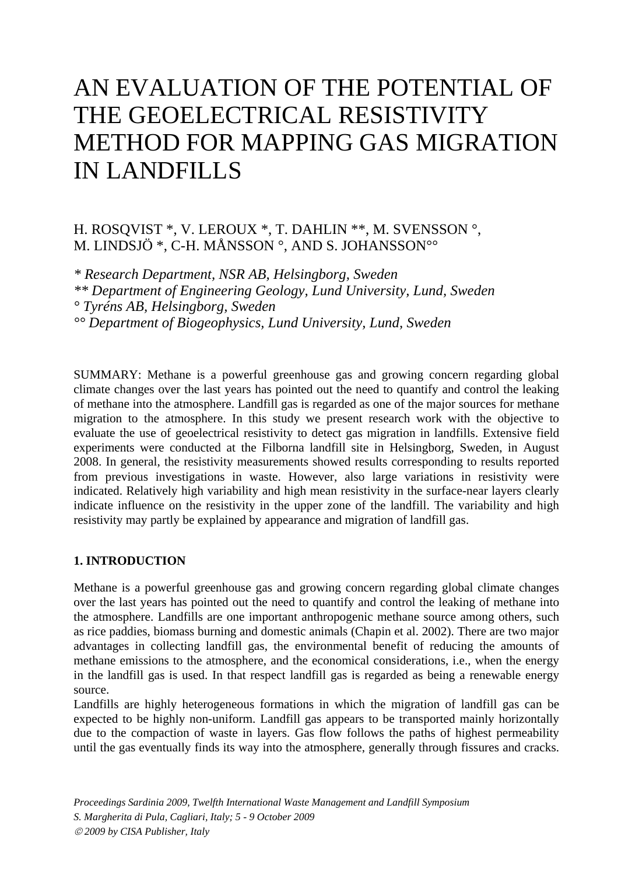# AN EVALUATION OF THE POTENTIAL OF THE GEOELECTRICAL RESISTIVITY METHOD FOR MAPPING GAS MIGRATION IN LANDFILLS

# H. ROSQVIST \*, V. LEROUX \*, T. DAHLIN \*\*, M. SVENSSON °, M. LINDSJÖ \*, C-H. MÅNSSON °, AND S. JOHANSSON°°

*\* Research Department, NSR AB, Helsingborg, Sweden \*\* Department of Engineering Geology, Lund University, Lund, Sweden ° Tyréns AB, Helsingborg, Sweden °° Department of Biogeophysics, Lund University, Lund, Sweden* 

SUMMARY: Methane is a powerful greenhouse gas and growing concern regarding global climate changes over the last years has pointed out the need to quantify and control the leaking of methane into the atmosphere. Landfill gas is regarded as one of the major sources for methane migration to the atmosphere. In this study we present research work with the objective to evaluate the use of geoelectrical resistivity to detect gas migration in landfills. Extensive field experiments were conducted at the Filborna landfill site in Helsingborg, Sweden, in August 2008. In general, the resistivity measurements showed results corresponding to results reported from previous investigations in waste. However, also large variations in resistivity were indicated. Relatively high variability and high mean resistivity in the surface-near layers clearly indicate influence on the resistivity in the upper zone of the landfill. The variability and high resistivity may partly be explained by appearance and migration of landfill gas.

## **1. INTRODUCTION**

Methane is a powerful greenhouse gas and growing concern regarding global climate changes over the last years has pointed out the need to quantify and control the leaking of methane into the atmosphere. Landfills are one important anthropogenic methane source among others, such as rice paddies, biomass burning and domestic animals (Chapin et al. 2002). There are two major advantages in collecting landfill gas, the environmental benefit of reducing the amounts of methane emissions to the atmosphere, and the economical considerations, i.e., when the energy in the landfill gas is used. In that respect landfill gas is regarded as being a renewable energy source.

Landfills are highly heterogeneous formations in which the migration of landfill gas can be expected to be highly non-uniform. Landfill gas appears to be transported mainly horizontally due to the compaction of waste in layers. Gas flow follows the paths of highest permeability until the gas eventually finds its way into the atmosphere, generally through fissures and cracks.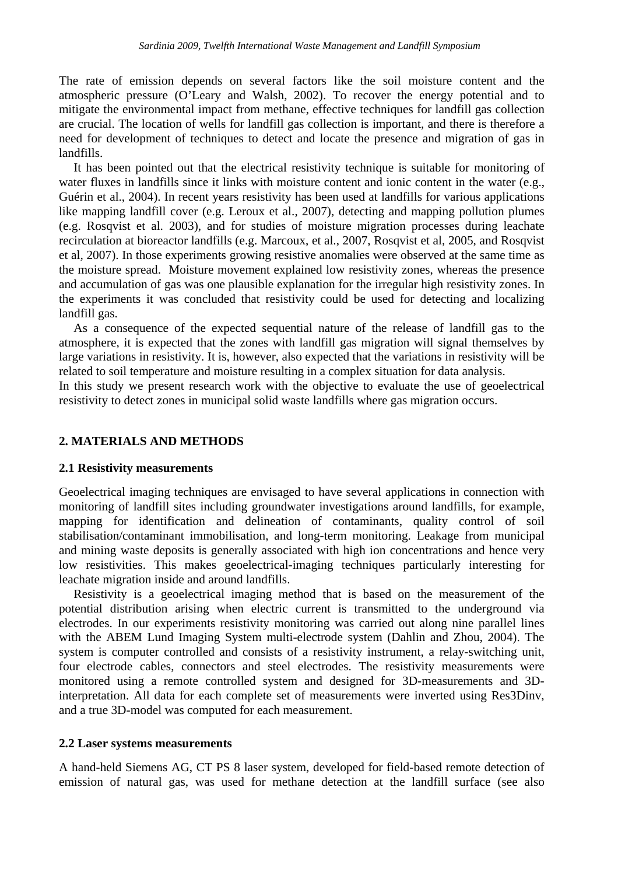The rate of emission depends on several factors like the soil moisture content and the atmospheric pressure (O'Leary and Walsh, 2002). To recover the energy potential and to mitigate the environmental impact from methane, effective techniques for landfill gas collection are crucial. The location of wells for landfill gas collection is important, and there is therefore a need for development of techniques to detect and locate the presence and migration of gas in landfills.

It has been pointed out that the electrical resistivity technique is suitable for monitoring of water fluxes in landfills since it links with moisture content and ionic content in the water (e.g., Guérin et al., 2004). In recent years resistivity has been used at landfills for various applications like mapping landfill cover (e.g. Leroux et al., 2007), detecting and mapping pollution plumes (e.g. Rosqvist et al. 2003), and for studies of moisture migration processes during leachate recirculation at bioreactor landfills (e.g. Marcoux, et al., 2007, Rosqvist et al, 2005, and Rosqvist et al, 2007). In those experiments growing resistive anomalies were observed at the same time as the moisture spread. Moisture movement explained low resistivity zones, whereas the presence and accumulation of gas was one plausible explanation for the irregular high resistivity zones. In the experiments it was concluded that resistivity could be used for detecting and localizing landfill gas.

As a consequence of the expected sequential nature of the release of landfill gas to the atmosphere, it is expected that the zones with landfill gas migration will signal themselves by large variations in resistivity. It is, however, also expected that the variations in resistivity will be related to soil temperature and moisture resulting in a complex situation for data analysis.

In this study we present research work with the objective to evaluate the use of geoelectrical resistivity to detect zones in municipal solid waste landfills where gas migration occurs.

## **2. MATERIALS AND METHODS**

#### **2.1 Resistivity measurements**

Geoelectrical imaging techniques are envisaged to have several applications in connection with monitoring of landfill sites including groundwater investigations around landfills, for example, mapping for identification and delineation of contaminants, quality control of soil stabilisation/contaminant immobilisation, and long-term monitoring. Leakage from municipal and mining waste deposits is generally associated with high ion concentrations and hence very low resistivities. This makes geoelectrical-imaging techniques particularly interesting for leachate migration inside and around landfills.

Resistivity is a geoelectrical imaging method that is based on the measurement of the potential distribution arising when electric current is transmitted to the underground via electrodes. In our experiments resistivity monitoring was carried out along nine parallel lines with the ABEM Lund Imaging System multi-electrode system (Dahlin and Zhou, 2004). The system is computer controlled and consists of a resistivity instrument, a relay-switching unit, four electrode cables, connectors and steel electrodes. The resistivity measurements were monitored using a remote controlled system and designed for 3D-measurements and 3Dinterpretation. All data for each complete set of measurements were inverted using Res3Dinv, and a true 3D-model was computed for each measurement.

#### **2.2 Laser systems measurements**

A hand-held Siemens AG, CT PS 8 laser system, developed for field-based remote detection of emission of natural gas, was used for methane detection at the landfill surface (see also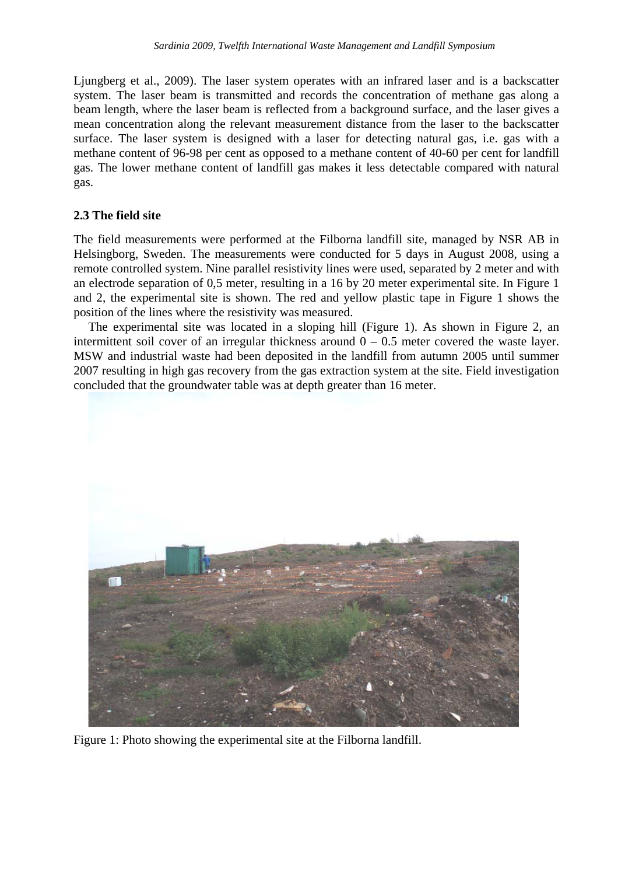Ljungberg et al., 2009). The laser system operates with an infrared laser and is a backscatter system. The laser beam is transmitted and records the concentration of methane gas along a beam length, where the laser beam is reflected from a background surface, and the laser gives a mean concentration along the relevant measurement distance from the laser to the backscatter surface. The laser system is designed with a laser for detecting natural gas, i.e. gas with a methane content of 96-98 per cent as opposed to a methane content of 40-60 per cent for landfill gas. The lower methane content of landfill gas makes it less detectable compared with natural gas.

## **2.3 The field site**

The field measurements were performed at the Filborna landfill site, managed by NSR AB in Helsingborg, Sweden. The measurements were conducted for 5 days in August 2008, using a remote controlled system. Nine parallel resistivity lines were used, separated by 2 meter and with an electrode separation of 0,5 meter, resulting in a 16 by 20 meter experimental site. In Figure 1 and 2, the experimental site is shown. The red and yellow plastic tape in Figure 1 shows the position of the lines where the resistivity was measured.

The experimental site was located in a sloping hill (Figure 1). As shown in Figure 2, an intermittent soil cover of an irregular thickness around  $0 - 0.5$  meter covered the waste layer. MSW and industrial waste had been deposited in the landfill from autumn 2005 until summer 2007 resulting in high gas recovery from the gas extraction system at the site. Field investigation concluded that the groundwater table was at depth greater than 16 meter.



Figure 1: Photo showing the experimental site at the Filborna landfill.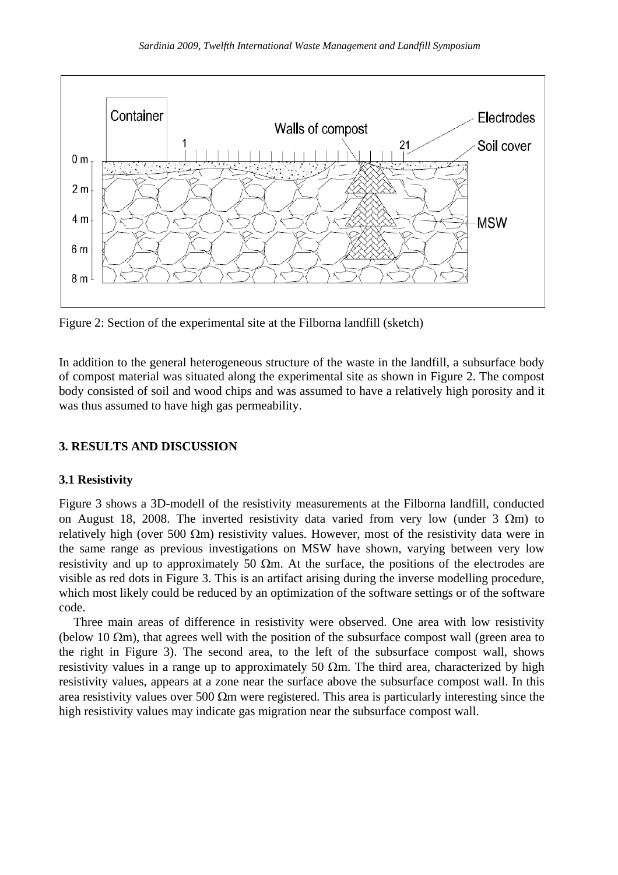

Figure 2: Section of the experimental site at the Filborna landfill (sketch)

In addition to the general heterogeneous structure of the waste in the landfill, a subsurface body of compost material was situated along the experimental site as shown in Figure 2. The compost body consisted of soil and wood chips and was assumed to have a relatively high porosity and it was thus assumed to have high gas permeability.

# **3. RESULTS AND DISCUSSION**

# **3.1 Resistivity**

Figure 3 shows a 3D-modell of the resistivity measurements at the Filborna landfill, conducted on August 18, 2008. The inverted resistivity data varied from very low (under  $3 \Omega m$ ) to relatively high (over 500  $\Omega$ m) resistivity values. However, most of the resistivity data were in the same range as previous investigations on MSW have shown, varying between very low resistivity and up to approximately 50  $\Omega$ m. At the surface, the positions of the electrodes are visible as red dots in Figure 3. This is an artifact arising during the inverse modelling procedure, which most likely could be reduced by an optimization of the software settings or of the software code.

Three main areas of difference in resistivity were observed. One area with low resistivity (below 10  $\Omega$ m), that agrees well with the position of the subsurface compost wall (green area to the right in Figure 3). The second area, to the left of the subsurface compost wall, shows resistivity values in a range up to approximately 50  $\Omega$ m. The third area, characterized by high resistivity values, appears at a zone near the surface above the subsurface compost wall. In this area resistivity values over 500  $\Omega$ m were registered. This area is particularly interesting since the high resistivity values may indicate gas migration near the subsurface compost wall.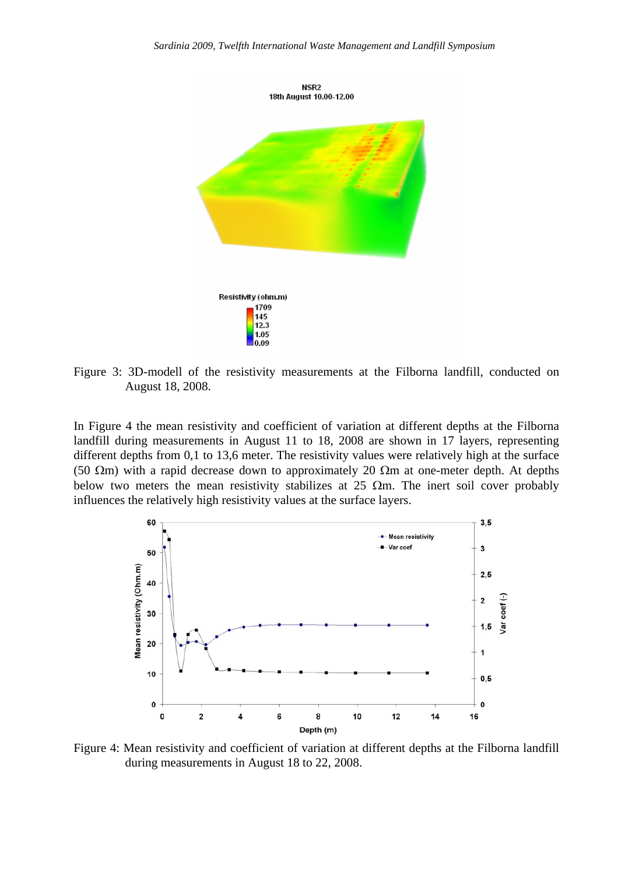

Figure 3: 3D-modell of the resistivity measurements at the Filborna landfill, conducted on August 18, 2008.

In Figure 4 the mean resistivity and coefficient of variation at different depths at the Filborna landfill during measurements in August 11 to 18, 2008 are shown in 17 layers, representing different depths from 0,1 to 13,6 meter. The resistivity values were relatively high at the surface (50 Ωm) with a rapid decrease down to approximately 20 Ωm at one-meter depth. At depths below two meters the mean resistivity stabilizes at 25  $\Omega$ m. The inert soil cover probably influences the relatively high resistivity values at the surface layers.



Figure 4: Mean resistivity and coefficient of variation at different depths at the Filborna landfill during measurements in August 18 to 22, 2008.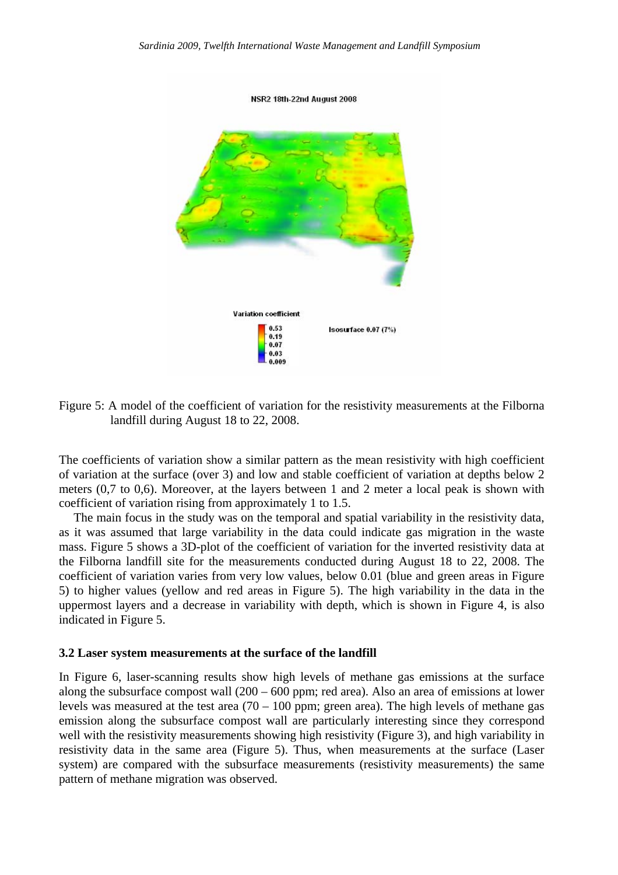

Figure 5: A model of the coefficient of variation for the resistivity measurements at the Filborna landfill during August 18 to 22, 2008.

The coefficients of variation show a similar pattern as the mean resistivity with high coefficient of variation at the surface (over 3) and low and stable coefficient of variation at depths below 2 meters (0,7 to 0,6). Moreover, at the layers between 1 and 2 meter a local peak is shown with coefficient of variation rising from approximately 1 to 1.5.

The main focus in the study was on the temporal and spatial variability in the resistivity data, as it was assumed that large variability in the data could indicate gas migration in the waste mass. Figure 5 shows a 3D-plot of the coefficient of variation for the inverted resistivity data at the Filborna landfill site for the measurements conducted during August 18 to 22, 2008. The coefficient of variation varies from very low values, below 0.01 (blue and green areas in Figure 5) to higher values (yellow and red areas in Figure 5). The high variability in the data in the uppermost layers and a decrease in variability with depth, which is shown in Figure 4, is also indicated in Figure 5.

#### **3.2 Laser system measurements at the surface of the landfill**

In Figure 6, laser-scanning results show high levels of methane gas emissions at the surface along the subsurface compost wall (200 – 600 ppm; red area). Also an area of emissions at lower levels was measured at the test area  $(70 - 100)$  ppm; green area). The high levels of methane gas emission along the subsurface compost wall are particularly interesting since they correspond well with the resistivity measurements showing high resistivity (Figure 3), and high variability in resistivity data in the same area (Figure 5). Thus, when measurements at the surface (Laser system) are compared with the subsurface measurements (resistivity measurements) the same pattern of methane migration was observed.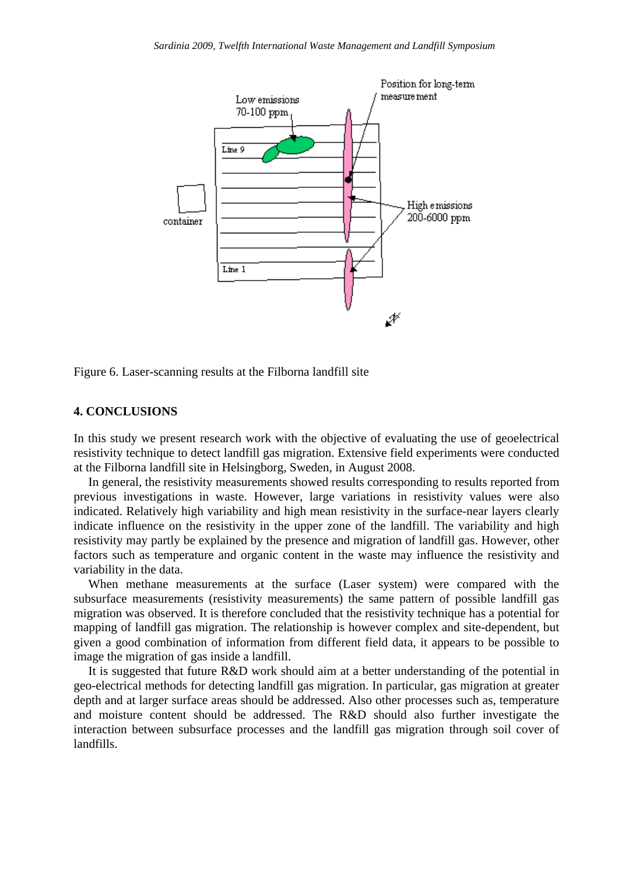

Figure 6. Laser-scanning results at the Filborna landfill site

#### **4. CONCLUSIONS**

In this study we present research work with the objective of evaluating the use of geoelectrical resistivity technique to detect landfill gas migration. Extensive field experiments were conducted at the Filborna landfill site in Helsingborg, Sweden, in August 2008.

In general, the resistivity measurements showed results corresponding to results reported from previous investigations in waste. However, large variations in resistivity values were also indicated. Relatively high variability and high mean resistivity in the surface-near layers clearly indicate influence on the resistivity in the upper zone of the landfill. The variability and high resistivity may partly be explained by the presence and migration of landfill gas. However, other factors such as temperature and organic content in the waste may influence the resistivity and variability in the data.

When methane measurements at the surface (Laser system) were compared with the subsurface measurements (resistivity measurements) the same pattern of possible landfill gas migration was observed. It is therefore concluded that the resistivity technique has a potential for mapping of landfill gas migration. The relationship is however complex and site-dependent, but given a good combination of information from different field data, it appears to be possible to image the migration of gas inside a landfill.

It is suggested that future R&D work should aim at a better understanding of the potential in geo-electrical methods for detecting landfill gas migration. In particular, gas migration at greater depth and at larger surface areas should be addressed. Also other processes such as, temperature and moisture content should be addressed. The R&D should also further investigate the interaction between subsurface processes and the landfill gas migration through soil cover of landfills.